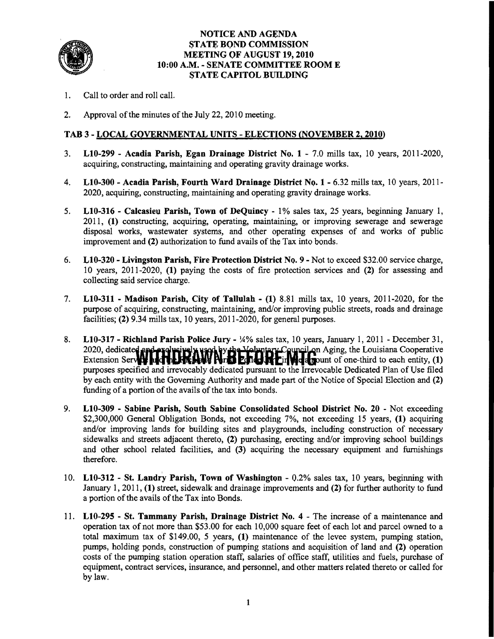

#### NOTICE AND AGENDA STATE SOND COMMISSION MEETING OF AUGUST 19,2010 10:00 A.M. - SENATE COMMITTEE ROOM E STATE CAPITOL BUILDING

- 1. Call to order and roll call.
- 2. Approval of the minutes of the July 22, 2010 meeting.

## TAB 3 - LOCAL GQYERNMENTAL UNITS - ELECTIONS <NOVEMBER 2,2010)

- 3. L10-299 Acadia Parish, Egan Drainage District No.1 7.0 mills tax, 10 years, 2011-2020, acquiring, constructing, maintaining and operating gravity drainage works.
- 4. L10-300 Acadia Parish, Fourth Ward Drainage District No. 1 6.32 mills tax, 10 years, 2011-2020, acquiring, constructing, maintaining and operating gravity drainage works.
- 5. L10-316 Calcasieu Parish, Town of DeQuincy 1% sales tax, 25 years, beginning January 1, 2011, (1) constructing, acquiring, operating, maintaining, or improving sewerage and sewerage disposal works, wastewater systems, and other operating expenses of and works of public improvement and (2) authorization to fund avails of the Tax into bonds.
- 6. L10-320 Livingston Parish, Fire Protection District No.9 Not to exceed \$32.00 service charge, 10 years, 2011-2020, (1) paying the costs of fire protection services and (2) for assessing and collecting said service charge.
- 7. L10-311 Madison Parish, City of Tallulah (1) 8.81 mills tax, 10 years, 2011-2020, for the purpose of acquiring, constructing, maintaining, and/or improving public streets, roads and drainage facilities; (2) 9.34 mills tax, 10 years, 2011-2020, for general purposes.
- 8. L10-317 Richland Parish Police Jury !4% sales tax, 10 years, January 1, 2011 December 31, 2020, dedicated applexe were weakly the Voluntary Council on Aging, the Louisiana Cooperative Extension Server **Model Internative Nrti Edited Internative Containst Action** of one-third to each entity,  $(1)$ purposes specified and irrevocably dedicated pursuant to the Irrevocable Dedicated Plan of Use filed by each entity with the Governing Authority and made part of the Notice of Special Election and (2) funding of a portion of the avails of the tax into bonds.
- 9. L10-309 Sabine Parish, South Sabine Consolidated School District No. 20 Not exceeding \$2,300,000 General Obligation Bonds, not exceeding 7%, not exceeding 15 years, (1) acquiring and/or improving lands for building sites and playgrounds, including construction of necessary sidewalks and streets adjacent thereto, (2) purchasing, erecting and/or improving school buildings and other school related facilities, and (3) acquiring the necessary equipment and furnishings therefore.
- 10. L10-312 St. Landry Parish, Town of Washington 0.2% sales tax, 10 years, beginning with January 1,2011, (1) street, sidewalk and drainage improvements and (2) for further authority to fund a portion of the avails of the Tax into Bonds.
- 11. L10-295 St. Tammany Parish, Drainage District No.4 The increase of a maintenance and operation tax of not more than \$53.00 for each 10,000 square feet of each lot and parcel owned to a total maximum tax of \$149.00, 5 years, (1) maintenance of the levee system, pumping station, pumps, holding ponds, construction of pumping stations and acquisition of land and (2) operation costs of the pumping station operation staff, salaries of office staff, utilities and fuels, purchase of equipment, contract services, insurance, and personnel, and other matters related thereto or called for by law.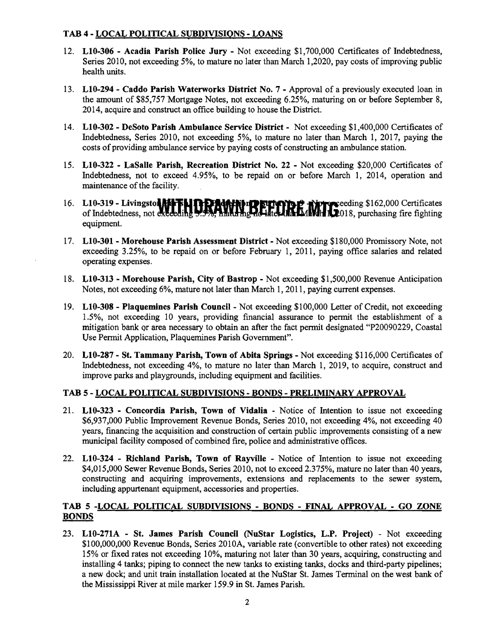# TAB 4 - LOCAL POLITICAL SUBDIVISIONS - LOANS

- 12. LI0-306 Acadia Parish Police Jury Not exceeding \$1,700,000 Certificates of Indebtedness, Series 2010, not exceeding 5%, to mature no later than March 1,2020, pay costs of improving public health units.
- 13. L10-294 Caddo Parish Waterworks District No. 7 Approval of a previously executed loan in the amount of \$85,757 Mortgage Notes, not exceeding 6.25%, maturing on or before September 8, 2014, acquire and construct an office building to house the District.
- 14. LI0-302 DeSoto Parish Ambulance Service District Not exceeding \$1,400,000 Certificates of Indebtedness, Series 2010, not exceeding 5%, to mature no later than March 1,2017, paying the costs of providing ambulance service by paying costs of constructing an ambulance station.
- 15. L10-322 LaSalle Parish, Recreation District No. 22 Not exceeding \$20,000 Certificates of Indebtedness, not to exceed 4.95%, to be repaid on or before March 1, 2014, operation and maintenance of the facility.
- 16. LI0-319 **Livingsto.....UftDAWI.OI'II2'fYIH!** ~eeding \$162,000 Certificates of Indebtedness, not exceeding 9.9%, haltering id-iater law IMMH 1.2018, purchasing fire fighting equipment.
- 17. L10-301 Morehouse Parish Assessment District Not exceeding \$180,000 Promissory Note, not exceeding 3.25%, to be repaid on or before February 1, 2011, paying office salaries and related operating expenses.
- 18. LI0-313 Morehouse Parish, City of Bastrop Not exceeding \$1,500,000 Revenue Anticipation Notes, not exceeding 6%, mature not later than March 1, 2011, paying current expenses.
- 19. L10-308 Plaquemines Parish Council Not exceeding \$100,000 Letter of Credit, not exceeding 1.5%, not exceeding 10 years, providing financial assurance to permit the establishment of a mitigation bank or area necessary to obtain an after the fact permit designated "P20090229, Coastal Use Permit Application, Plaquemines Parish Government".
- 20. L10-287 St. Tammany Parish, Town of Abita Springs Not exceeding \$116,000 Certificates of Indebtedness, not exceeding 4%, to mature no later than March 1, 2019, to acquire, construct and improve parks and playgrounds, including equipment and facilities.

## TAB 5 - LOCAL PQLITICAL SUBDIVISIQNS - BOND§ - PRELIMINARY APPROVAL

- 21. L10-323 Concordia Parish, Town of Vidalia Notice of Intention to issue not exceeding \$6,937,000 Public Improvement Revenue Bonds, Series 2010, not exceeding 4%, not exceeding 40 years, fmancing the acquisition and construction of certain public improvements consisting of a new municipal facility composed of combined fire, police and administrative offices.
- 22. L10-324 Richland Parish, Town of Rayville Notice of Intention to issue not exceeding \$4,015,000 Sewer Revenue Bonds, Series 2010, not to exceed 2.375%, mature no later than 40 years, constructing and acquiring improvements, extensions and replacements to the sewer system, including appurtenant equipment, accessories and properties.

## TAB 5 -LOCAL POLITICAL SUBDIVISIONS - BOND§ - FINAL APPROVAL - GO ZONE BONDS

23. L10-271A - St. James Parish Council (NuStar Logistics, L.P. Project) - Not exceeding \$100,000,000 Revenue Bonds, Series 2010A, variable rate (convertible to other rates) not exceeding 15% or fixed rates not exceeding 10%, maturing not later than 30 years, acquiring, constructing and installing 4 tanks; piping to connect the new tanks to existing tanks, docks and third-party pipelines; a new dock; and unit train installation located at the NuStar St. James Terminal on the west bank of the Mississippi River at mile marker 159.9 in St. James Parish.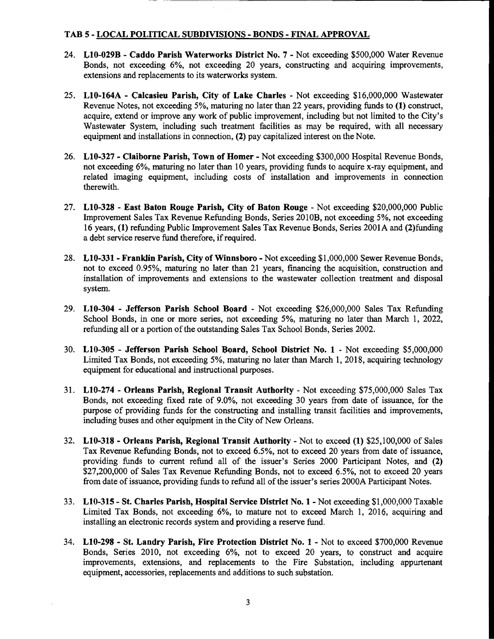## TAB 5 - LOCAL POLITICAL SUBDIVISIONS - BONDS - FINAL APPROVAL

- 24. L10-029B Caddo Parish Waterworks District No. 7 Not exceeding \$500,000 Water Revenue Bonds, not exceeding 6%, not exceeding 20 years, constructing and acquiring improvements, extensions and replacements to its waterworks system.
- 25. L10-164A Calcasieu Parish, City of Lake Charles Not exceeding \$16,000,000 Wastewater Revenue Notes, not exceeding 5%, maturing no later than 22 years, providing funds to (1) construct, acquire, extend or improve any work of public improvement, including but not limited to the City's Wastewater System, including such treatment facilities as may be required, with all necessary equipment and installations in connection, (2) pay capitalized interest on the Note.
- 26. L10-327 Claiborne Parish, Town of Homer Not exceeding \$300,000 Hospital Revenue Bonds, not exceeding 6%, maturing no later than 10 years, providing funds to acquire x-ray equipment, and related imaging equipment, including costs of installation and improvements in connection therewith.
- 27. L10-328 East Baton Rouge Parish, City of Baton Rouge Not exceeding \$20,000,000 Public Improvement Sales Tax Revenue Refunding Bonds, Series 2010B, not exceeding 5%, not exceeding 16 years, (1) refunding Public Improvement Sales Tax Revenue Bonds, Series 2001A and (2)funding a debt service reserve fund therefore, if required.
- 28. L10-331- Franklin Parish, City of Winnsboro Not exceeding \$1,000,000 Sewer Revenue Bonds, not to exceed 0.95%, maturing no later than 21 years, financing the acquisition, construction and installation of improvements and extensions to the wastewater collection treatment and disposal system.
- 29.  $L10-304$  Jefferson Parish School Board Not exceeding \$26,000,000 Sales Tax Refunding School Bonds, in one or more series, not exceeding 5%, maturing no later than March 1, 2022, refunding all or a portion of the outstanding Sales Tax School Bonds, Series 2002.
- 30. L10-305 Jefferson Parish School Board, School District No. 1 Not exceeding \$5,000,000 Limited Tax Bonds, not exceeding 5%, maturing no later than March 1,2018, acquiring technology equipment for educational and instructional purposes.
- 31. L10-274 Orleans Parish, Regional Transit Authority Not exceeding \$75,000,000 Sales Tax Bonds, not exceeding fixed rate of 9.0%, not exceeding 30 years from date of issuance, for the purpose of providing funds for the constructing and installing transit facilities and improvements, including buses and other equipment in the City of New Orleans.
- 32.  $L10-318$  Orleans Parish, Regional Transit Authority Not to exceed (1) \$25,100,000 of Sales Tax Revenue Refunding Bonds, not to exceed 6.5%, not to exceed 20 years from date of issuance, providing funds to current refund all of the issuer's Series 2000 Participant Notes, and (2) \$27,200,000 of Sales Tax Revenue Refunding Bonds, not to exceed 6.5%, not to exceed 20 years from date of issuance, providing funds to refund all of the issuer's series 2000A Participant Notes.
- 33. L10-315 St. Charles Parish, Hospital Service District No. 1- Not exceeding \$1,000,000 Taxable Limited Tax Bonds, not exceeding 6%, to mature not to exceed March 1, 2016, acquiring and installing an electronic records system and providing a reserve fund.
- 34. L10-298 St. Landry Parish, Fire Protection District No. 1 Not to exceed \$700,000 Revenue Bonds, Series 2010, not exceeding 6%, not to exceed 20 years, to construct and acquire improvements, extensions, and replacements to the Fire Substation, including appurtenant equipment, accessories, replacements and additions to such substation.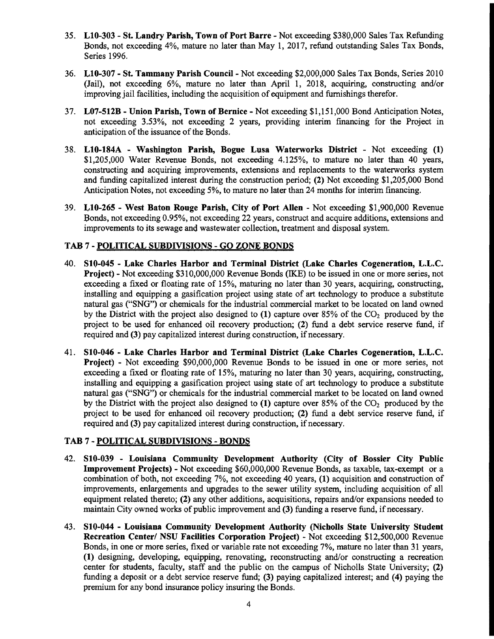- 35. LIO-303 St. Landry Parish, Town of Port Barre Not exceeding \$380,000 Sales Tax Refunding Bonds, not exceeding 4%, mature no later than May 1,2017, refund outstanding Sales Tax Bonds, Series 1996.
- 36. LIO-307 St. Tammany Parish Councll Not exceeding \$2,000,000 Sales Tax Bonds, Series 2010 (Jail), not exceeding 6%, mature no later than April 1, 2018, acquiring, constructing and/or improving jail facilities, including the acquisition of equipment and furnishings therefor.
- 37. L07-512B Union Parish, Town of Bernice Not exceeding \$1,151,000 Bond Anticipation Notes, not exceeding 3.53%, not exceeding 2 years, providing interim fmancing for the Project in anticipation of the issuance of the Bonds.
- 38. LIO-184A Washington Parish, Bogue Lusa Waterworks District Not exceeding (1) \$1,205,000 Water Revenue Bonds, not exceeding 4.125%, to mature no later than 40 years, constructing and acquiring improvements, extensions and replacements to the waterworks system and funding capitalized interest during the construction period; (2) Not exceeding \$1,205,000 Bond Anticipation Notes, not exceeding 5%, to mature no later than 24 months for interim financing.
- 39. LI0-265 West Baton Rouge Parish, City of Port Allen Not exceeding \$1,900,000 Revenue Bonds, not exceeding 0.95%, not exceeding 22 years, construct and acquire additions, extensions and improvements to its sewage and wastewater collection, treatment and disposal system.

# TAB 7 - POLITICAL SUBDIVISIONS - GO ZONE BONDS

- 40. S10-045 Lake Charles Harbor and Terminal District (Lake Charles Cogeneration, L.L.C. Project) - Not exceeding \$310,000,000 Revenue Bonds (IKE) to be issued in one or more series, not exceeding a fixed or floating rate of 15%, maturing no later than 30 years, acquiring, constructing, installing and equipping a gasification project using state of art technology to produce a substitute natural gas ("SNG") or chemicals for the industrial commercial market to be located on land owned by the District with the project also designed to  $(1)$  capture over 85% of the CO<sub>2</sub> produced by the project to be used for enhanced oil recovery production; (2) fund a debt service reserve fund, if required and (3) pay capitalized interest during construction, if necessary.
- 41. S10-046 Lake Charles Harbor and Terminal District (Lake Charles Cogeneration, L.L.C. Project) - Not exceeding \$90,000,000 Revenue Bonds to be issued in one or more series, not exceeding a fixed or floating rate of 15%, maturing no later than 30 years, acquiring, constructing, installing and equipping a gasification project using state of art technology to produce a substitute natural gas ("SNG") or chemicals for the industrial commercial market to be located on land owned by the District with the project also designed to  $(1)$  capture over 85% of the  $CO<sub>2</sub>$  produced by the project to be used for enhanced oil recovery production; (2) fund a debt service reserve fund, if required and (3) pay capitalized interest during construction, if necessary.

## TAB 7 - POLITICAL SUBDIVISIONS - BONDS

- 42. S10-039 Louisiana Community Development Authority (City of Bossier City Public Improvement Projects) - Not exceeding \$60,000,000 Revenue Bonds, as taxable, tax-exempt or a combination of both, not exceeding 7%, not exceeding 40 years, (I) acquisition and construction of improvements, enlargements and upgrades to the sewer utility system, including acquisition of all equipment related thereto; (2) any other additions, acquisitions, repairs and/or expansions needed to maintain City owned works of public improvement and (3) funding a reserve fund, if necessary.
- 43. S10-044 Louisiana Community Development Authority (Nicholls State University Student Recreation Center/ NSU Facilities Corporation Project) - Not exceeding \$12,500,000 Revenue Bonds, in one or more series, fixed or variable rate not exceeding 7%, mature no later than 31 years, (1) designing, developing, equipping, renovating, reconstructing and/or constructing a recreation center for students, faculty, staff and the public on the campus of Nicholls State University; (2) funding a deposit or a debt service reserve fund; (3) paying capitalized interest; and (4) paying the premium for any bond insurance policy insuring the Bonds.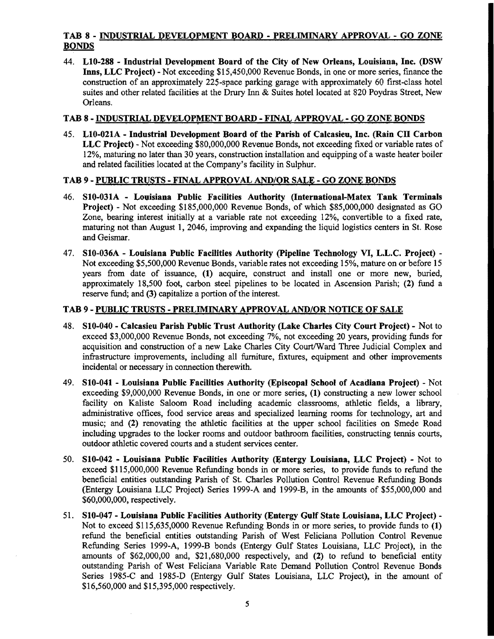## TAB 8 - INDUSTRIAL DEVELOPMENT BOARD - PRELIMINARY APPROVAL - GO ZONE BONDS

44. LI0-288 - Industrial Development Board of the City of New Orleans, Louisiana, Inc. (DSW Inns, LLC Project) - Not exceeding \$15,450,000 Revenue Bonds, in one or more series, finance the construction of an approximately 225-space parking garage with approximately 60 first-class hotel suites and other related facilities at the Drury Inn & Suites hotel located at 820 Poydras Street, New Orleans.

#### TAB 8 - INDUSTRIAL DEVELOPMENT BOARD - FINAL APPROVAL - GO ZONE BONDS

45. L10-021A - Industrial Development Board of the Parish of Calcasieu, Inc. (Rain CII Carbon LLC Project) - Not exceeding \$80,000,000 Revenue Bonds, not exceeding fixed or variable rates of 12%, maturing no later than 30 years, construction installation and equipping ofa waste heater boiler and related facilities located at the Company's facility in Sulphur.

## TAB 9 - PUBLIC TRUSTS - FINAL APPROVAL AND/OR SALE - GO ZONE BONDS

- 46. S10-031A Louisiana Public Facilities Authority (International-Matex Tank Terminals Project) - Not exceeding \$185,000,000 Revenue Bonds, of which \$85,000,000 designated as GO Zone, bearing interest initially at a variable rate not exceeding 12%, convertible to a fixed rate, maturing not than August 1, 2046, improving and expanding the liquid logistics centers in St. Rose and Geismar.
- 47. S10-036A Louisiana Public Facilities Authority (Pipeline Technology VI, L.L.C. Project) -Not exceeding \$5,500,000 Revenue Bonds, variable rates not exceeding 15%, mature on or before 15 years from date of issuance, (1) acquire, construct and install one or more new, buried, approximately 18,500 foot, carbon steel pipelines to be located in Ascension Parish; (2) fund a reserve fund; and (3) capitalize a portion of the interest.

#### TAB 9 - PUBLIC TRUSTS - PRELIMINARY APPROVAL AND/QR NOTICE QF SALE

- 48. S10-040 Calcasieu Parish Public Trust Authority (Lake Charles City Court Project) Not to exceed \$3,000,000 Revenue Bonds, not exceeding 7%, not exceeding 20 years, providing funds for acquisition and construction of a new Lake Charles City Court/Ward Three Judicial Complex and infrastructure improvements, including all furniture, fixtures, equipment and other improvements incidental or necessary in connection therewith.
- 49. S10-041 Louisiana Public Facilities Authority (Episcopal School of Acadiana Project) Not exceeding \$9,000,000 Revenue Bonds, in one or more series, (1) constructing a new lower school facility on Kaliste Saloom Road including academic classrooms, athletic fields, a library, administrative offices, food service areas and specialized learning rooms for technology, art and music; and (2) renovating the athletic facilities at the upper school facilities on Smede Road including upgrades to the locker rooms and outdoor bathroom facilities, constructing tennis courts, outdoor athletic covered courts and a student services center.
- 50. S10-042 Louisiana Public Facilities Authority (Entergy Louisiana, LLC Project) Not to exceed \$115,000,000 Revenue Refunding bonds in or more series, to provide funds to refund the beneficial entities outstanding Parish of St. Charles Pollution Control Revenue Refunding Bonds (Entergy Louisiana LLC Project) Series 1999-A and 1999-B, in the amounts of \$55,000,000 and \$60,000,000, respectively.
- 51. S10-047 Louisiana Public Facilities Authority (Entergy Gulf State Louisiana, LLC Project) -Not to exceed \$115,635,0000 Revenue Refunding Bonds in or more series, to provide funds to (1) refund the beneficial entities outstanding Parish of West Feliciana Pollution Control Revenue Refunding Series 1999-A, 1999-B bonds (Entergy Gulf States Louisiana, LLC Project), in the amounts of \$62,000,00 and, \$21,680,000 respectively, and (2) to refund to beneficial entity outstanding Parish of West Feliciana Variable Rate Demand Pollution Control Revenue Bonds Series 1985-C and 1985-0 (Entergy Gulf States Louisiana, LLC Project), in the amount of \$16,560,000 and \$15,395,000 respectively.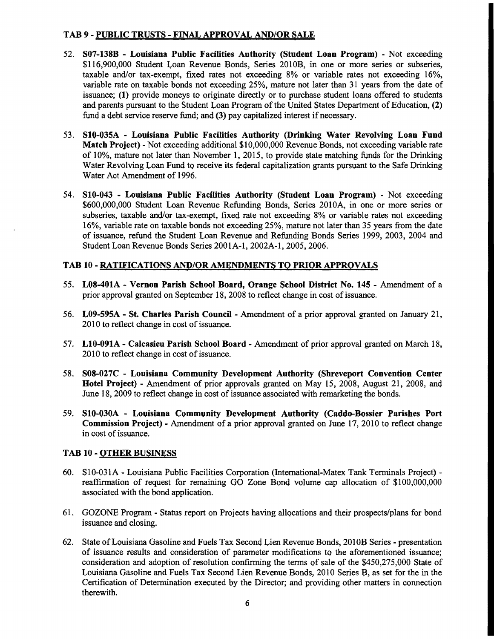## TAB 9 - PUBLIC TRUSTS - FINAL APPROVAL AND/OR SALE

- 52. S07-138B Louisiana Public Facilities Authority (Student Loan Program) Not exceeding \$116,900,000 Student Loan Revenue Bonds, Series 2010B, in one or more series or subseries, taxable and/or tax-exempt, fixed rates not exceeding 8% or variable rates not exceeding 16%, variable rate on taxable bonds not exceeding 25%, mature not later than 31 years from the date of issuance; (1) provide moneys to originate directly or to purchase student loans offered to students and parents pursuant to the Student Loan Program of the United States Department of Education, (2) fund a debt service reserve fund; and (3) pay capitalized interest if necessary.
- 53. S10-035A Louisiana Public Facilities Authority (Drinking Water Revolving Loan Fund Match Project) - Not exceeding additional \$10,000,000 Revenue Bonds, not exceeding variable rate of 10%, mature not later than November 1, 2015, to provide state matching funds for the Drinking Water Revolving Loan Fund to receive its federal capitalization grants pursuant to the Safe Drinking Water Act Amendment of 1996.
- 54. S10-043 Louisiana Public Facilities Authority (Student Loan Program) Not exceeding \$600,000,000 Student Loan Revenue Refunding Bonds, Series 2010A, in one or more series or subseries, taxable and/or tax-exempt, fixed rate not exceeding 8% or variable rates not exceeding 16%, variable rate on taxable bonds not exceeding 25%, mature not later than 35 years from the date of issuance, refund the Student Loan Revenue and Refunding Bonds Series 1999, 2003, 2004 and Student Loan Revenue Bonds Series 2001A-l, 2002A-l, 2005, 2006.

#### TAB 10 - RATIFICATIONS AND/OR AMENDMENTS TO PRIOR APPROVALS

- 55. L08-401A Vernon Parish School Board, Orange School District No. 145 Amendment of a prior approval granted on September 18, 2008 to reflect change in cost of issuance.
- 56. L09-595A St. Charles Parish Council Amendment of a prior approval granted on January 21, 2010 to reflect change in cost of issuance.
- 57. L10-091A Calcasieu Parish School Board Amendment of prior approval granted on March 18, 2010 to reflect change in cost of issuance.
- 58. S08-027C Louisiana Community Development Authority (Shreveport Convention Center Hotel Project) - Amendment of prior approvals granted on May 15, 2008, August 21, 2008, and June 18, 2009 to reflect change in cost of issuance associated with remarketing the bonds.
- 59. S10-030A Louisiana Community Development Authority (Caddo-Bossier Parishes Port Commission Project) - Amendment of a prior approval granted on June 17, 2010 to reflect change in cost of issuance.

## TAB 10 - QTHER BUSINESS

- 60. SIO-031A Louisiana Public Facilities Corporation (International-Matex Tank Terminals Project) reaffirmation of request for remaining GO Zone Bond volume cap allocation of \$100,000,000 associated with the bond application.
- 61. GOZONE Program Status report on Projects having allocations and their prospects/plans for bond issuance and closing.
- 62. State ofLouisiana Gasoline and Fuels Tax Second Lien Revenue Bonds, 2010B Series presentation of issuance results and consideration of parameter modifications to the aforementioned issuance; consideration and adoption of resolution confirming the terms of sale of the \$450,275,000 State of Louisiana Gasoline and Fuels Tax Second Lien Revenue Bonds, 2010 Series B, as set for the in the Certification of Determination executed by the Director; and providing other matters in connection therewith.